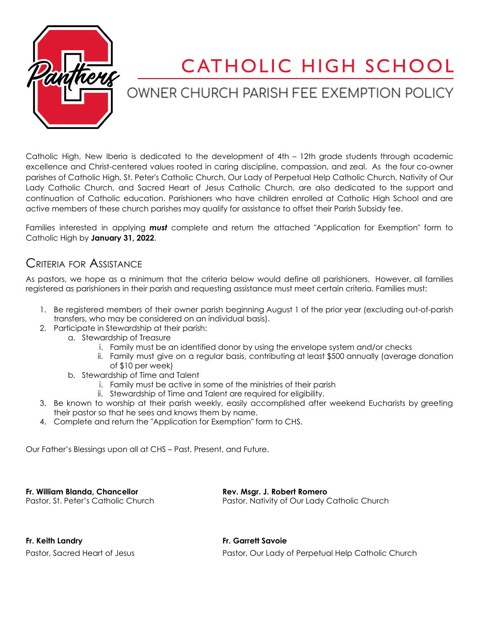

## CATHOLIC HIGH SCHOOL

## OWNER CHURCH PARISH FEE EXEMPTION POLICY

Catholic High, New Iberia is dedicated to the development of 4th – 12th grade students through academic excellence and Christ-centered values rooted in caring discipline, compassion, and zeal. As the four co-owner parishes of Catholic High, St. Peter's Catholic Church, Our Lady of Perpetual Help Catholic Church, Nativity of Our Lady Catholic Church, and Sacred Heart of Jesus Catholic Church, are also dedicated to the support and continuation of Catholic education. Parishioners who have children enrolled at Catholic High School and are active members of these church parishes may qualify for assistance to offset their Parish Subsidy fee.

Families interested in applying *must* complete and return the attached "Application for Exemption" form to Catholic High by **January 31, 2022**.

## CRITERIA FOR ASSISTANCE

As pastors, we hope as a minimum that the criteria below would define all parishioners. However, all families registered as parishioners in their parish and requesting assistance must meet certain criteria. Families must:

- 1. Be registered members of their owner parish beginning August 1 of the prior year (excluding out-of-parish transfers, who may be considered on an individual basis).
- 2. Participate in Stewardship at their parish:
	- a. Stewardship of Treasure
		- i. Family must be an identified donor by using the envelope system and/or checks
		- ii. Family must give on a regular basis, contributing at least \$500 annually (average donation of \$10 per week)
	- b. Stewardship of Time and Talent
		- i. Family must be active in some of the ministries of their parish
		- ii. Stewardship of Time and Talent are required for eligibility.
- 3. Be known to worship at their parish weekly, easily accomplished after weekend Eucharists by greeting their pastor so that he sees and knows them by name.
- 4. Complete and return the "Application for Exemption" form to CHS.

Our Father's Blessings upon all at CHS – Past, Present, and Future.

**Fr. William Blanda, Chancellor Rev. Msgr. J. Robert Romero**

Pastor, St. Peter's Catholic Church Pastor, Nativity of Our Lady Catholic Church

| Fr. Keith Landry              |
|-------------------------------|
| Pastor, Sacred Heart of Jesus |

**Fr. Keith Landry Fr. Garrett Savoie** Pastor, Our Lady of Perpetual Help Catholic Church